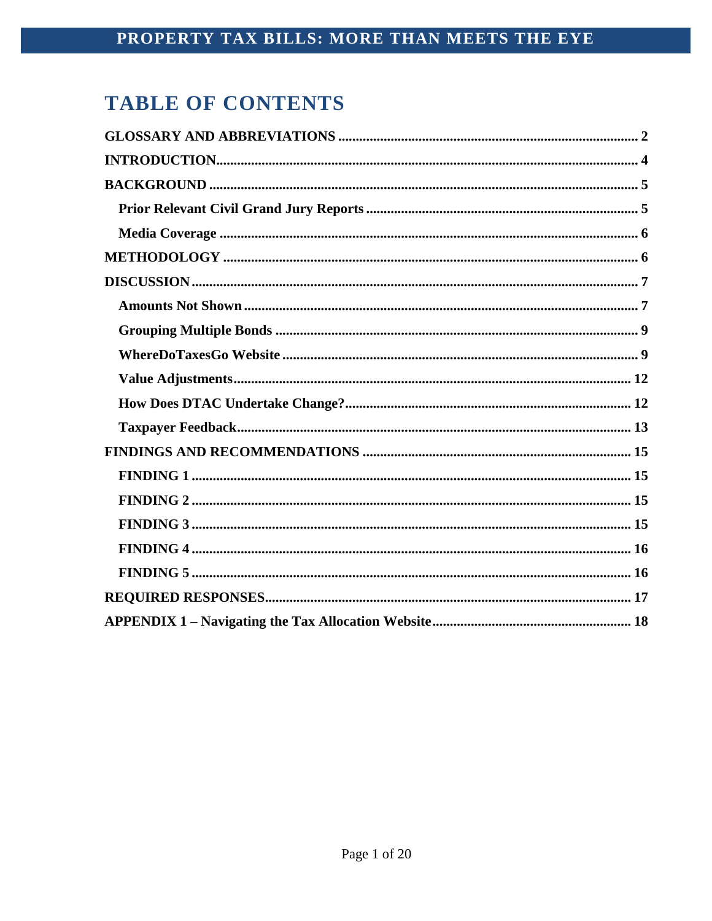# **TABLE OF CONTENTS**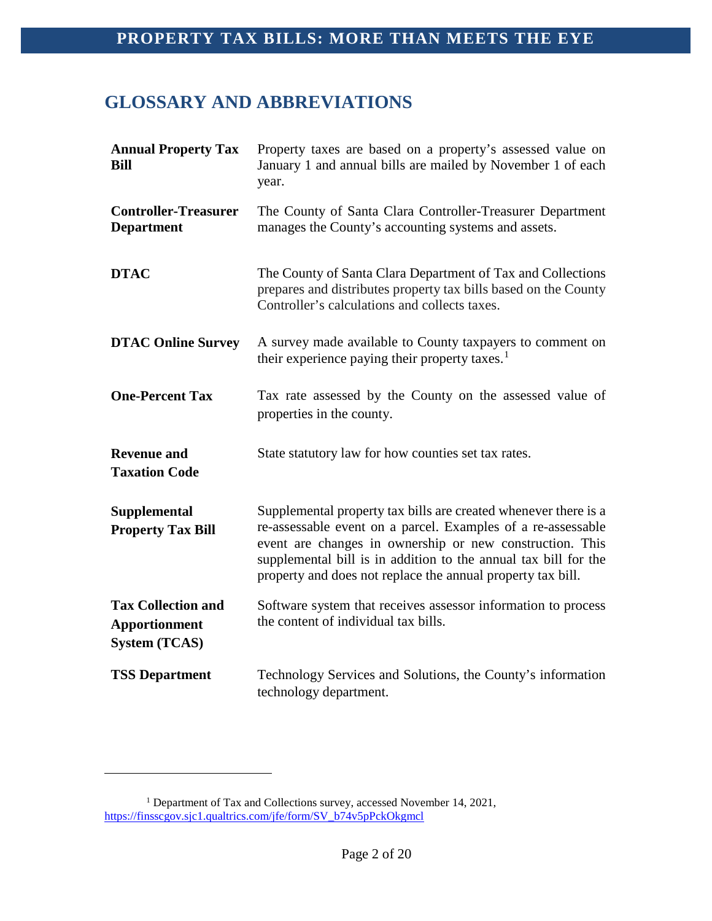### <span id="page-2-0"></span>**GLOSSARY AND ABBREVIATIONS**

| <b>Annual Property Tax</b><br><b>Bill</b>                                 | Property taxes are based on a property's assessed value on<br>January 1 and annual bills are mailed by November 1 of each<br>year.                                                                                                                                                                                            |
|---------------------------------------------------------------------------|-------------------------------------------------------------------------------------------------------------------------------------------------------------------------------------------------------------------------------------------------------------------------------------------------------------------------------|
| <b>Controller-Treasurer</b><br><b>Department</b>                          | The County of Santa Clara Controller-Treasurer Department<br>manages the County's accounting systems and assets.                                                                                                                                                                                                              |
| <b>DTAC</b>                                                               | The County of Santa Clara Department of Tax and Collections<br>prepares and distributes property tax bills based on the County<br>Controller's calculations and collects taxes.                                                                                                                                               |
| <b>DTAC Online Survey</b>                                                 | A survey made available to County taxpayers to comment on<br>their experience paying their property taxes. <sup>1</sup>                                                                                                                                                                                                       |
| <b>One-Percent Tax</b>                                                    | Tax rate assessed by the County on the assessed value of<br>properties in the county.                                                                                                                                                                                                                                         |
| <b>Revenue and</b><br><b>Taxation Code</b>                                | State statutory law for how counties set tax rates.                                                                                                                                                                                                                                                                           |
| <b>Supplemental</b><br><b>Property Tax Bill</b>                           | Supplemental property tax bills are created whenever there is a<br>re-assessable event on a parcel. Examples of a re-assessable<br>event are changes in ownership or new construction. This<br>supplemental bill is in addition to the annual tax bill for the<br>property and does not replace the annual property tax bill. |
| <b>Tax Collection and</b><br><b>Apportionment</b><br><b>System (TCAS)</b> | Software system that receives assessor information to process<br>the content of individual tax bills.                                                                                                                                                                                                                         |
| <b>TSS Department</b>                                                     | Technology Services and Solutions, the County's information<br>technology department.                                                                                                                                                                                                                                         |

<span id="page-2-1"></span><sup>&</sup>lt;sup>1</sup> Department of Tax and Collections survey, accessed November 14, 2021, [https://finsscgov.sjc1.qualtrics.com/jfe/form/SV\\_b74v5pPckOkgmcl](https://finsscgov.sjc1.qualtrics.com/jfe/form/SV_b74v5pPckOkgmcl)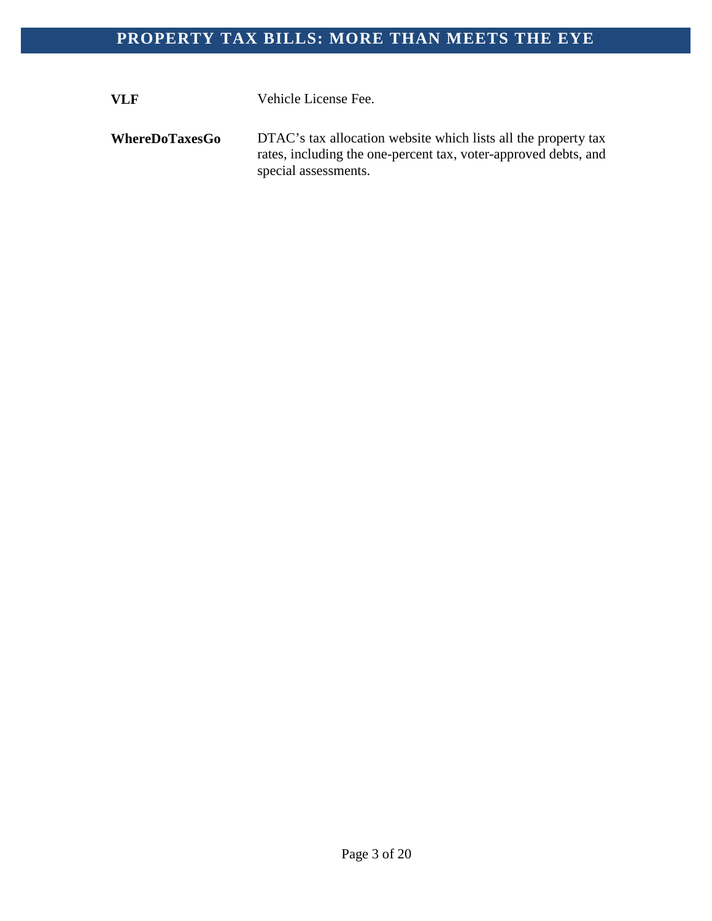**VLF** Vehicle License Fee.

**WhereDoTaxesGo** DTAC's tax allocation website which lists all the property tax rates, including the one-percent tax, voter-approved debts, and special assessments.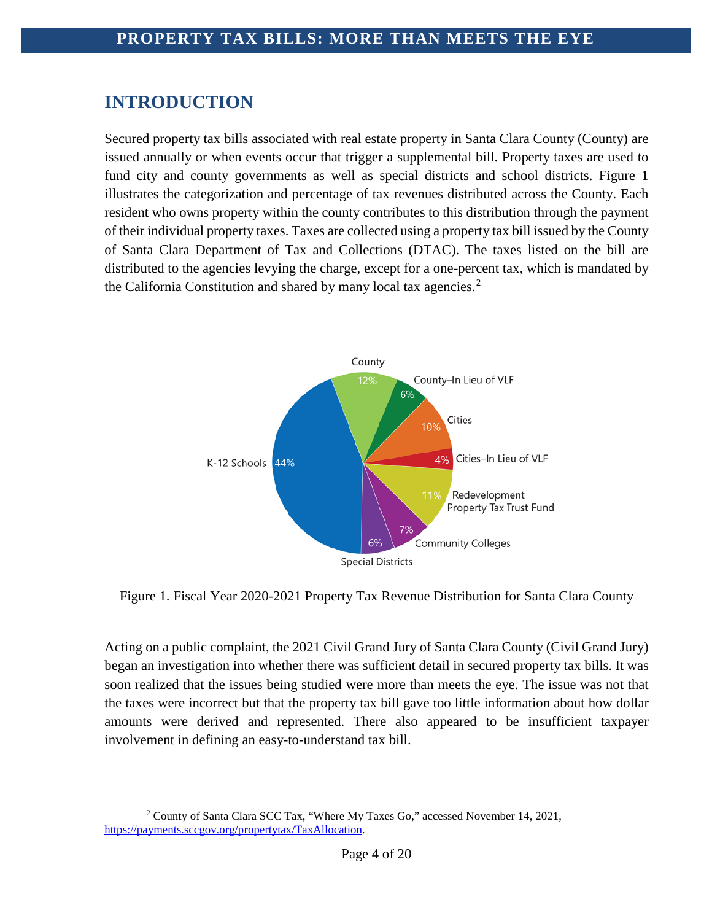## <span id="page-4-0"></span>**INTRODUCTION**

i<br>I

Secured property tax bills associated with real estate property in Santa Clara County (County) are issued annually or when events occur that trigger a supplemental bill. Property taxes are used to fund city and county governments as well as special districts and school districts. Figure 1 illustrates the categorization and percentage of tax revenues distributed across the County. Each resident who owns property within the county contributes to this distribution through the payment of their individual property taxes. Taxes are collected using a property tax bill issued by the County of Santa Clara Department of Tax and Collections (DTAC). The taxes listed on the bill are distributed to the agencies levying the charge, except for a one-percent tax, which is mandated by the California Constitution and shared by many local tax agencies.<sup>[2](#page-4-1)</sup>



Figure 1. Fiscal Year 2020-2021 Property Tax Revenue Distribution for Santa Clara County

Acting on a public complaint, the 2021 Civil Grand Jury of Santa Clara County (Civil Grand Jury) began an investigation into whether there was sufficient detail in secured property tax bills. It was soon realized that the issues being studied were more than meets the eye. The issue was not that the taxes were incorrect but that the property tax bill gave too little information about how dollar amounts were derived and represented. There also appeared to be insufficient taxpayer involvement in defining an easy-to-understand tax bill.

<span id="page-4-1"></span><sup>2</sup> County of Santa Clara SCC Tax, "Where My Taxes Go," accessed November 14, 2021, [https://payments.sccgov.org/propertytax/TaxAllocation.](https://payments.sccgov.org/propertytax/TaxAllocation)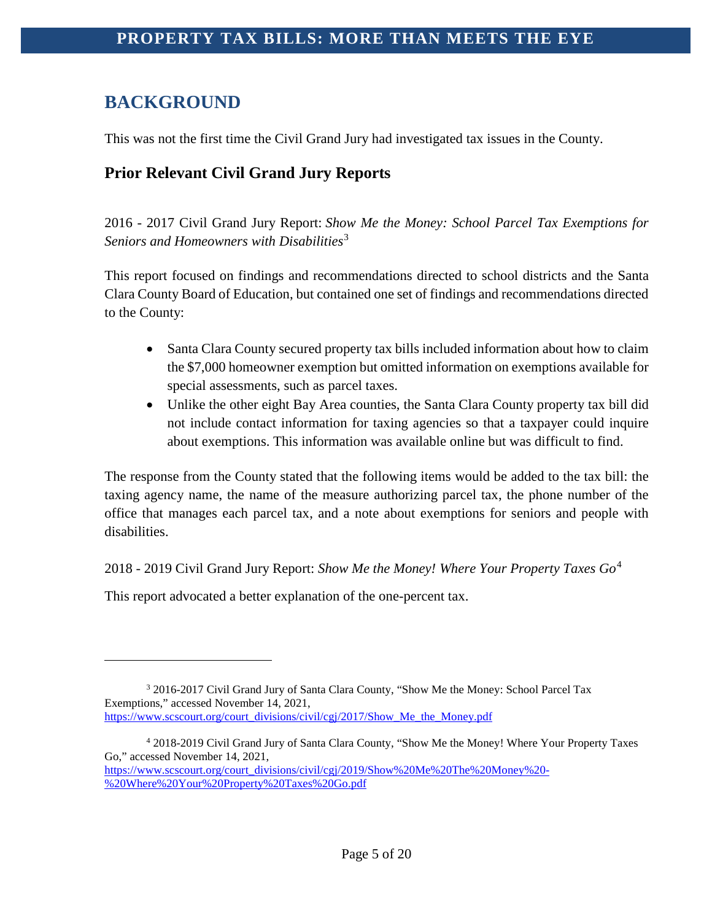# <span id="page-5-0"></span>**BACKGROUND**

This was not the first time the Civil Grand Jury had investigated tax issues in the County.

### <span id="page-5-1"></span>**Prior Relevant Civil Grand Jury Reports**

2016 - 2017 Civil Grand Jury Report: *Show Me the Money: School Parcel Tax Exemptions for Seniors and Homeowners with Disabilities*[3](#page-5-2)

This report focused on findings and recommendations directed to school districts and the Santa Clara County Board of Education, but contained one set of findings and recommendations directed to the County:

- Santa Clara County secured property tax bills included information about how to claim the \$7,000 homeowner exemption but omitted information on exemptions available for special assessments, such as parcel taxes.
- Unlike the other eight Bay Area counties, the Santa Clara County property tax bill did not include contact information for taxing agencies so that a taxpayer could inquire about exemptions. This information was available online but was difficult to find.

The response from the County stated that the following items would be added to the tax bill: the taxing agency name, the name of the measure authorizing parcel tax, the phone number of the office that manages each parcel tax, and a note about exemptions for seniors and people with disabilities.

2018 - 2019 Civil Grand Jury Report: *Show Me the Money! Where Your Property Taxes Go*[4](#page-5-3)

This report advocated a better explanation of the one-percent tax.

<span id="page-5-2"></span><sup>&</sup>lt;sup>3</sup> 2016-2017 Civil Grand Jury of Santa Clara County, "Show Me the Money: School Parcel Tax Exemptions," accessed November 14, 2021, [https://www.scscourt.org/court\\_divisions/civil/cgj/2017/Show\\_Me\\_the\\_Money.pdf](https://www.scscourt.org/court_divisions/civil/cgj/2017/Show_Me_the_Money.pdf)

<span id="page-5-3"></span><sup>4</sup> 2018-2019 Civil Grand Jury of Santa Clara County, "Show Me the Money! Where Your Property Taxes Go," accessed November 14, 2021, [https://www.scscourt.org/court\\_divisions/civil/cgj/2019/Show%20Me%20The%20Money%20-](https://www.scscourt.org/court_divisions/civil/cgj/2019/Show%20Me%20The%20Money%20-%20Where%20Your%20Property%20Taxes%20Go.pdf)

[<sup>%20</sup>Where%20Your%20Property%20Taxes%20Go.pdf](https://www.scscourt.org/court_divisions/civil/cgj/2019/Show%20Me%20The%20Money%20-%20Where%20Your%20Property%20Taxes%20Go.pdf)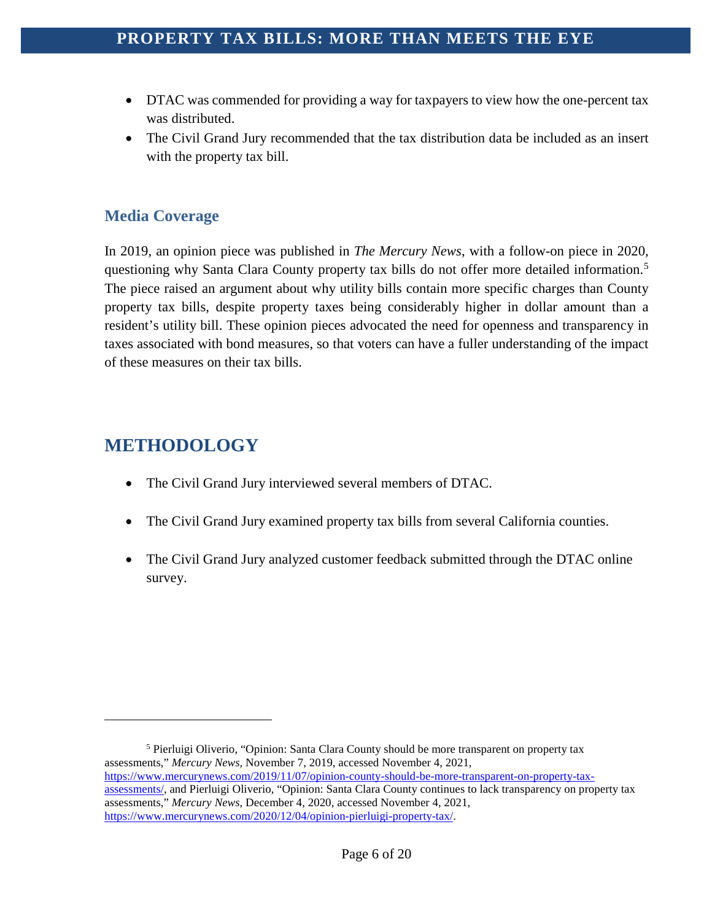- DTAC was commended for providing a way for taxpayers to view how the one-percent tax was distributed.
- The Civil Grand Jury recommended that the tax distribution data be included as an insert with the property tax bill.

#### <span id="page-6-0"></span>**Media Coverage**

In 2019, an opinion piece was published in *The Mercury News*, with a follow-on piece in 2020, questioning why Santa Clara County property tax bills do not offer more detailed information.<sup>[5](#page-6-2)</sup> The piece raised an argument about why utility bills contain more specific charges than County property tax bills, despite property taxes being considerably higher in dollar amount than a resident's utility bill. These opinion pieces advocated the need for openness and transparency in taxes associated with bond measures, so that voters can have a fuller understanding of the impact of these measures on their tax bills.

## <span id="page-6-1"></span>**METHODOLOGY**

- The Civil Grand Jury interviewed several members of DTAC.
- The Civil Grand Jury examined property tax bills from several California counties.
- The Civil Grand Jury analyzed customer feedback submitted through the DTAC online survey.

<span id="page-6-2"></span><sup>5</sup> Pierluigi Oliverio, "Opinion: Santa Clara County should be more transparent on property tax assessments," *Mercury News,* November 7, 2019, accessed November 4, 2021, [https://www.mercurynews.com/2019/11/07/opinion-county-should-be-more-transparent-on-property-tax](https://www.mercurynews.com/2019/11/07/opinion-county-should-be-more-transparent-on-property-tax-assessments/)[assessments/,](https://www.mercurynews.com/2019/11/07/opinion-county-should-be-more-transparent-on-property-tax-assessments/) and Pierluigi Oliverio, "Opinion: Santa Clara County continues to lack transparency on property tax assessments," *Mercury News*, December 4, 2020, accessed November 4, 2021, [https://www.mercurynews.com/2020/12/04/opinion-pierluigi-property-tax/.](https://www.mercurynews.com/2020/12/04/opinion-pierluigi-property-tax/)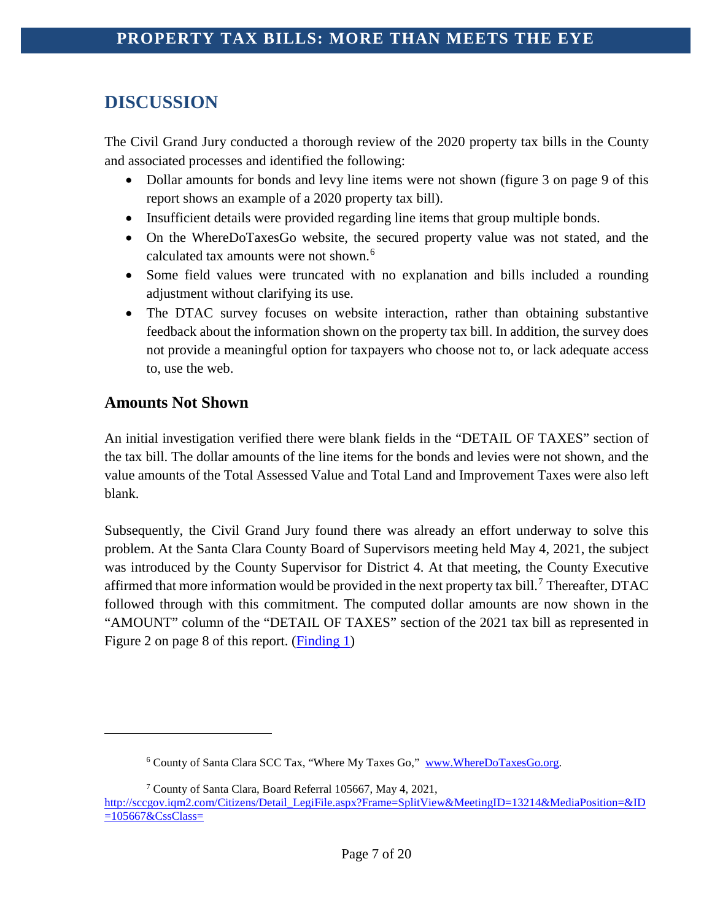# <span id="page-7-0"></span>**DISCUSSION**

The Civil Grand Jury conducted a thorough review of the 2020 property tax bills in the County and associated processes and identified the following:

- Dollar amounts for bonds and levy line items were not shown (figure 3 on page 9 of this report shows an example of a 2020 property tax bill).
- Insufficient details were provided regarding line items that group multiple bonds.
- On the WhereDoTaxesGo website, the secured property value was not stated, and the calculated tax amounts were not shown.<sup>[6](#page-7-2)</sup>
- Some field values were truncated with no explanation and bills included a rounding adjustment without clarifying its use.
- The DTAC survey focuses on website interaction, rather than obtaining substantive feedback about the information shown on the property tax bill. In addition, the survey does not provide a meaningful option for taxpayers who choose not to, or lack adequate access to, use the web.

#### <span id="page-7-1"></span>**Amounts Not Shown**

<span id="page-7-2"></span>i<br>I

An initial investigation verified there were blank fields in the "DETAIL OF TAXES" section of the tax bill. The dollar amounts of the line items for the bonds and levies were not shown, and the value amounts of the Total Assessed Value and Total Land and Improvement Taxes were also left blank.

Subsequently, the Civil Grand Jury found there was already an effort underway to solve this problem. At the Santa Clara County Board of Supervisors meeting held May 4, 2021, the subject was introduced by the County Supervisor for District 4. At that meeting, the County Executive affirmed that more information would be provided in the next property tax bill.<sup>[7](#page-7-3)</sup> Thereafter, DTAC followed through with this commitment. The computed dollar amounts are now shown in the "AMOUNT" column of the "DETAIL OF TAXES" section of the 2021 tax bill as represented in Figure 2 on page 8 of this report. [\(Finding 1\)](#page-15-1)

<sup>6</sup> County of Santa Clara SCC Tax, "Where My Taxes Go," [www.WhereDoTaxesGo.org.](http://www.wheredotaxesgo.org/)

<sup>7</sup> County of Santa Clara, Board Referral 105667, May 4, 2021,

<span id="page-7-3"></span>[http://sccgov.iqm2.com/Citizens/Detail\\_LegiFile.aspx?Frame=SplitView&MeetingID=13214&MediaPosition=&ID](http://sccgov.iqm2.com/Citizens/Detail_LegiFile.aspx?Frame=SplitView&MeetingID=13214&MediaPosition=&ID=105667&CssClass=)  $=105667\&CssClass=$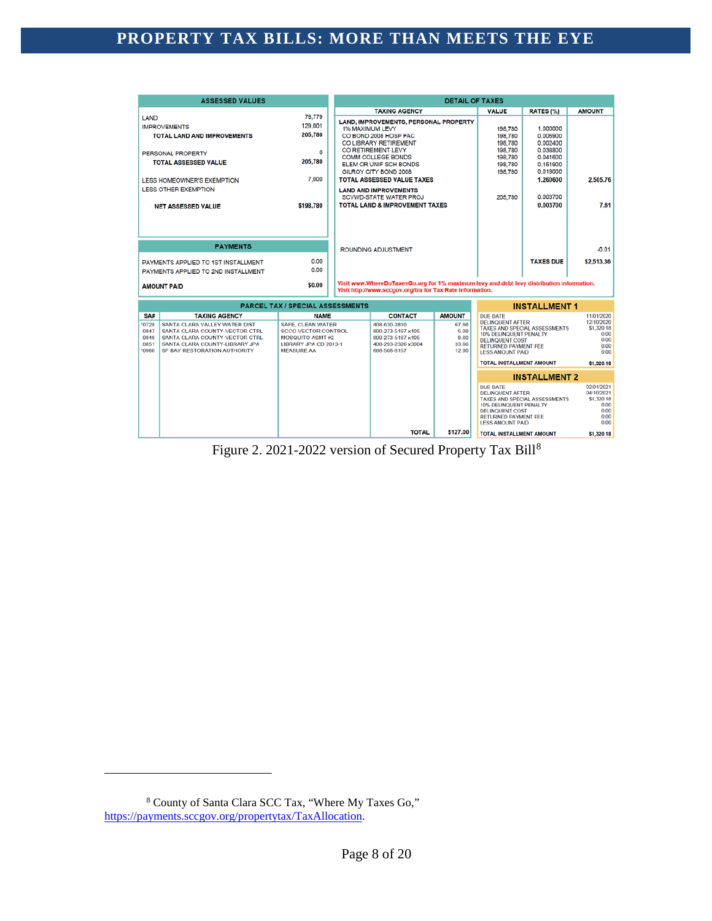|                                       | <b>ASSESSED VALUES</b>                                                                                                                                              |                                                                                                                         | <b>DETAIL OF TAXES</b>                                                                                                                                |                                           |                                                                                                                                |                                                                                                                                                          |                                                          |                                                                        |
|---------------------------------------|---------------------------------------------------------------------------------------------------------------------------------------------------------------------|-------------------------------------------------------------------------------------------------------------------------|-------------------------------------------------------------------------------------------------------------------------------------------------------|-------------------------------------------|--------------------------------------------------------------------------------------------------------------------------------|----------------------------------------------------------------------------------------------------------------------------------------------------------|----------------------------------------------------------|------------------------------------------------------------------------|
|                                       |                                                                                                                                                                     |                                                                                                                         |                                                                                                                                                       | <b>TAXING AGENCY</b>                      |                                                                                                                                | <b>VALUE</b>                                                                                                                                             | RATES (%)                                                | <b>AMOUNT</b>                                                          |
| LAND                                  | <b>IMPROVEMENTS</b><br><b>TOTAL LAND AND IMPROVEMENTS</b>                                                                                                           | 76.779<br>129,001<br>205,780                                                                                            | <b>LAND, IMPROVEMENTS, PERSONAL PROPERTY</b><br><b>1% MAXIMUM LEVY</b><br>CO BOND 2008 HOSP FAC<br>CO LIBRARY RETIREMENT                              |                                           |                                                                                                                                | 198,780<br>198,780<br>198.780                                                                                                                            | 1.000000<br>0.006900<br>0.002400                         |                                                                        |
|                                       | PERSONAL PROPERTY<br><b>TOTAL ASSESSED VALUE</b>                                                                                                                    | 0<br>205,780                                                                                                            | CO RETIREMENT LEVY<br><b>COMM COLLEGE BONDS</b><br>ELEM OR UNIF SCH BONDS<br>GILROY CITY BOND 2008                                                    |                                           |                                                                                                                                | 198,780<br>198,780<br>198,780<br>198,780                                                                                                                 | 0.038800<br>0.041600<br>0.151900<br>0.019000             |                                                                        |
|                                       | <b>LESS HOMEOWNER'S EXEMPTION</b><br><b>LESS OTHER EXEMPTION</b>                                                                                                    | 7.000                                                                                                                   | <b>TOTAL ASSESSED VALUE TAXES</b><br><b>LAND AND IMPROVEMENTS</b><br><b>SCVWD-STATE WATER PROJ</b>                                                    |                                           |                                                                                                                                | 205,780                                                                                                                                                  | 1.260600<br>0.003700                                     | 2.505.76                                                               |
|                                       | <b>NET ASSESSED VALUE</b>                                                                                                                                           | \$198,780                                                                                                               |                                                                                                                                                       | <b>TOTAL LAND &amp; IMPROVEMENT TAXES</b> |                                                                                                                                |                                                                                                                                                          | 0.003700                                                 | 7.61                                                                   |
|                                       | <b>PAYMENTS</b>                                                                                                                                                     |                                                                                                                         |                                                                                                                                                       |                                           |                                                                                                                                |                                                                                                                                                          |                                                          | $-0.01$                                                                |
|                                       |                                                                                                                                                                     | 0.00                                                                                                                    |                                                                                                                                                       | <b>ROUNDING ADJUSTMENT</b>                |                                                                                                                                |                                                                                                                                                          |                                                          |                                                                        |
|                                       | PAYMENTS APPLIED TO 1ST INSTALLMENT<br>PAYMENTS APPLIED TO 2ND INSTALLMENT                                                                                          | 0.00                                                                                                                    |                                                                                                                                                       |                                           |                                                                                                                                |                                                                                                                                                          | <b>TAXES DUE</b>                                         | \$2,513.36                                                             |
|                                       | <b>AMOUNT PAID</b>                                                                                                                                                  | \$0.00                                                                                                                  | Visit www.WhereDoTaxesGo.org for 1% maximum levy and debt levy distribution information.<br>Visit http://www.sccgov.org/tra for Tax Rate information. |                                           |                                                                                                                                |                                                                                                                                                          |                                                          |                                                                        |
|                                       |                                                                                                                                                                     | <b>PARCEL TAX / SPECIAL ASSESSMENTS</b>                                                                                 |                                                                                                                                                       |                                           |                                                                                                                                |                                                                                                                                                          | <b>INSTALLMENT 1</b>                                     |                                                                        |
| SA#                                   | <b>TAXING AGENCY</b>                                                                                                                                                | <b>NAME</b>                                                                                                             |                                                                                                                                                       | <b>CONTACT</b>                            | <b>AMOUNT</b>                                                                                                                  | <b>DUE DATE</b>                                                                                                                                          |                                                          | 11/01/2020                                                             |
| 0728<br>0847<br>0848<br>0851<br>'0980 | SANTA CLARA VALLEY WATER DIST<br>SANTA CLARA COUNTY-VECTOR CTRL<br>SANTA CLARA COUNTY-VECTOR CTRL<br>SANTA CLARA COUNTY-LIBRARY JPA<br>SF BAY RESTORATION AUTHORITY | SAFE, CLEAN WATER<br><b>SCCO VECTOR CONTROL</b><br><b>MOSQUITO ASMT#2</b><br>LIBRARY JPA CD 2013-1<br><b>MEASURE AA</b> | 408-630-2810<br>67.66<br>800-273-5167 x105<br>5.08<br>8.60<br>800-273-5167 x105<br>408-293-2326 x3004<br>33.66<br>888-508-8157<br>12.00               |                                           | <b>DELINQUENT AFTER</b><br>10% DELINQUENT PENALTY<br><b>DELINQUENT COST</b><br>RETURNED PAYMENT FEE<br><b>LESS AMOUNT PAID</b> | TAXES AND SPECIAL ASSESSMENTS                                                                                                                            | 12/10/2020<br>\$1,320.18<br>0.00<br>0.00<br>0.00<br>0.00 |                                                                        |
|                                       |                                                                                                                                                                     |                                                                                                                         | <b>TOTAL INSTALLMENT AMOUNT</b>                                                                                                                       |                                           |                                                                                                                                | \$1,320.18                                                                                                                                               |                                                          |                                                                        |
|                                       |                                                                                                                                                                     |                                                                                                                         | <b>INSTALLMENT 2</b>                                                                                                                                  |                                           |                                                                                                                                |                                                                                                                                                          |                                                          |                                                                        |
|                                       |                                                                                                                                                                     |                                                                                                                         |                                                                                                                                                       |                                           |                                                                                                                                | <b>DUE DATE</b><br><b>DELINQUENT AFTER</b><br>10% DELINQUENT PENALTY<br><b>DELINQUENT COST</b><br><b>RETURNED PAYMENT FEE</b><br><b>LESS AMOUNT PAID</b> | TAXES AND SPECIAL ASSESSMENTS                            | 02/01/2021<br>04/10/2021<br>\$1,320.18<br>0.00<br>0.00<br>0.00<br>0.00 |
|                                       |                                                                                                                                                                     |                                                                                                                         |                                                                                                                                                       | <b>TOTAL</b>                              | \$127.00                                                                                                                       | <b>TOTAL INSTALLMENT AMOUNT</b>                                                                                                                          |                                                          | \$1,320.18                                                             |

Figure 2. 2021-2022 version of Secured Property Tax Bill[8](#page-8-0)

<span id="page-8-0"></span><sup>8</sup> County of Santa Clara SCC Tax, "Where My Taxes Go," [https://payments.sccgov.org/propertytax/TaxAllocation.](https://payments.sccgov.org/propertytax/TaxAllocation)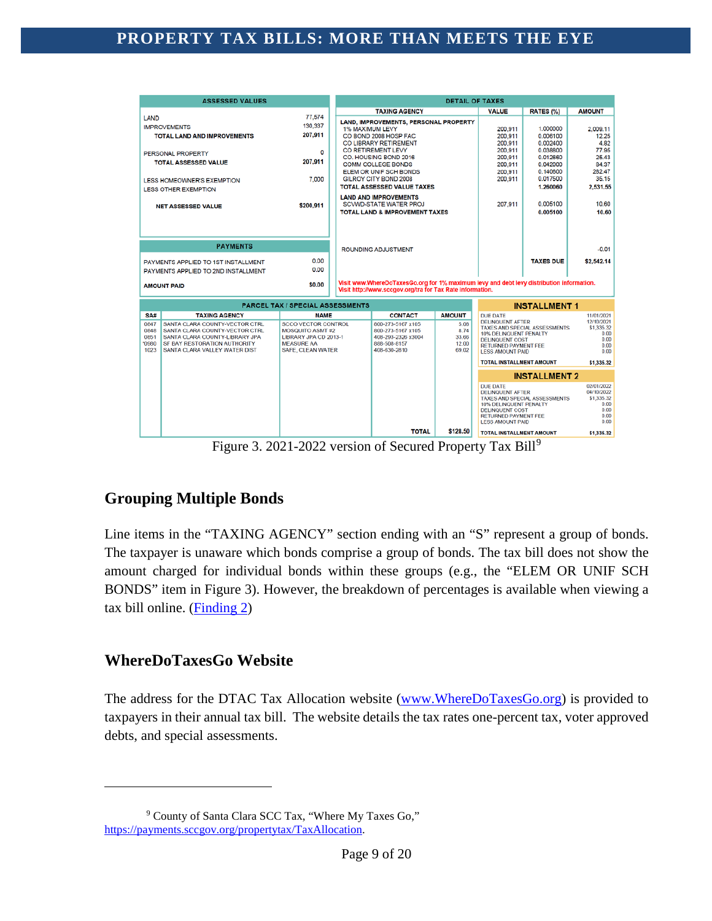| <b>ASSESSED VALUES</b>                                                                                                                                                                                                                      | <b>DETAIL OF TAXES</b>                                                                                                                        |                                                                                                                                                                                                                         |                                                                                            |                                                                                                                                                          |                                                                                                                                                          |                                                                        |                                                                        |
|---------------------------------------------------------------------------------------------------------------------------------------------------------------------------------------------------------------------------------------------|-----------------------------------------------------------------------------------------------------------------------------------------------|-------------------------------------------------------------------------------------------------------------------------------------------------------------------------------------------------------------------------|--------------------------------------------------------------------------------------------|----------------------------------------------------------------------------------------------------------------------------------------------------------|----------------------------------------------------------------------------------------------------------------------------------------------------------|------------------------------------------------------------------------|------------------------------------------------------------------------|
|                                                                                                                                                                                                                                             |                                                                                                                                               |                                                                                                                                                                                                                         | <b>TAXING AGENCY</b>                                                                       |                                                                                                                                                          | <b>VALUE</b>                                                                                                                                             | RATES (%)                                                              | <b>AMOUNT</b>                                                          |
| LAND<br><b>IMPROVEMENTS</b><br><b>TOTAL LAND AND IMPROVEMENTS</b>                                                                                                                                                                           | 77,574<br>130,337<br>207.911                                                                                                                  | <b>LAND, IMPROVEMENTS, PERSONAL PROPERTY</b><br>1% MAXIMUM LEVY<br>CO BOND 2008 HOSP FAC<br>CO LIBRARY RETIREMENT<br>CO RETIREMENT LEVY<br>CO. HOUSING BOND 2016<br><b>COMM COLLEGE BONDS</b><br>ELEM OR UNIF SCH BONDS |                                                                                            |                                                                                                                                                          | 200,911<br>200,911<br>200,911                                                                                                                            | 1.000000<br>0.006100<br>0.002400                                       | 2,009.11<br>12.25<br>4.82                                              |
| PERSONAL PROPERTY<br><b>TOTAL ASSESSED VALUE</b>                                                                                                                                                                                            | o<br>207,911                                                                                                                                  |                                                                                                                                                                                                                         |                                                                                            |                                                                                                                                                          | 200.911<br>200.911<br>200,911<br>200,911                                                                                                                 | 0.038800<br>0.012660<br>0.042000<br>0.140600                           | 77.95<br>25.43<br>84.37<br>282.47                                      |
| <b>LESS HOMEOWNER'S EXEMPTION</b><br><b>LESS OTHER EXEMPTION</b>                                                                                                                                                                            | 7,000                                                                                                                                         |                                                                                                                                                                                                                         | GILROY CITY BOND 2008<br><b>TOTAL ASSESSED VALUE TAXES</b><br><b>LAND AND IMPROVEMENTS</b> |                                                                                                                                                          | 200.911                                                                                                                                                  | 0.017500<br>1.260060                                                   | 35.15<br>2.531.55                                                      |
| <b>NET ASSESSED VALUE</b>                                                                                                                                                                                                                   | \$200,911                                                                                                                                     | <b>SCVWD-STATE WATER PROJ</b><br><b>TOTAL LAND &amp; IMPROVEMENT TAXES</b>                                                                                                                                              |                                                                                            | 207,911                                                                                                                                                  | 0.005100<br>0.005100                                                                                                                                     | 10.60<br>10.60                                                         |                                                                        |
|                                                                                                                                                                                                                                             |                                                                                                                                               |                                                                                                                                                                                                                         |                                                                                            |                                                                                                                                                          |                                                                                                                                                          |                                                                        |                                                                        |
| <b>PAYMENTS</b>                                                                                                                                                                                                                             |                                                                                                                                               | <b>ROUNDING ADJUSTMENT</b>                                                                                                                                                                                              |                                                                                            |                                                                                                                                                          |                                                                                                                                                          |                                                                        | $-0.01$                                                                |
| PAYMENTS APPLIED TO 1ST INSTALLMENT<br>PAYMENTS APPLIED TO 2ND INSTALLMENT                                                                                                                                                                  | 0.00<br>0.00                                                                                                                                  |                                                                                                                                                                                                                         |                                                                                            |                                                                                                                                                          |                                                                                                                                                          | <b>TAXES DUE</b>                                                       | \$2,542.14                                                             |
| <b>AMOUNT PAID</b>                                                                                                                                                                                                                          | \$0.00                                                                                                                                        | Visit www.WhereDoTaxesGo.org for 1% maximum levy and debt levy distribution information.<br>Visit http://www.sccgov.org/tra for Tax Rate information.                                                                   |                                                                                            |                                                                                                                                                          |                                                                                                                                                          |                                                                        |                                                                        |
|                                                                                                                                                                                                                                             | <b>PARCEL TAX / SPECIAL ASSESSMENTS</b><br><b>INSTALLMENT 1</b>                                                                               |                                                                                                                                                                                                                         |                                                                                            |                                                                                                                                                          |                                                                                                                                                          |                                                                        |                                                                        |
| SA#<br><b>TAXING AGENCY</b><br>SANTA CLARA COUNTY-VECTOR CTRL<br>0847<br>0848<br>SANTA CLARA COUNTY-VECTOR CTRL<br>0851<br>SANTA CLARA COUNTY-LIBRARY JPA<br>'0980<br>SF BAY RESTORATION AUTHORITY<br>1023<br>SANTA CLARA VALLEY WATER DIST | <b>NAME</b><br><b>SCCO VECTOR CONTROL</b><br><b>MOSQUITO ASMT#2</b><br>LIBRARY JPA CD 2013-1<br><b>MEASURE AA</b><br><b>SAFE. CLEAN WATER</b> | <b>CONTACT</b><br><b>AMOUNT</b><br>800-273-5167 x105<br>5.08<br>8.74<br>800-273-5167 x105<br>33.66<br>408-293-2326 x3004<br>888-508-8157<br>12.00<br>408-630-2810<br>69.02                                              |                                                                                            | <b>DUE DATE</b><br><b>DELINQUENT AFTER</b><br>10% DELINQUENT PENALTY<br><b>DELINQUENT COST</b><br><b>RETURNED PAYMENT FEE</b><br><b>LESS AMOUNT PAID</b> | <b>TAXES AND SPECIAL ASSESSMENTS</b>                                                                                                                     | 11/01/2021<br>12/10/2021<br>\$1,335.32<br>0.00<br>0.00<br>0.00<br>0.00 |                                                                        |
|                                                                                                                                                                                                                                             |                                                                                                                                               |                                                                                                                                                                                                                         |                                                                                            |                                                                                                                                                          | <b>TOTAL INSTALLMENT AMOUNT</b>                                                                                                                          |                                                                        | \$1,335.32                                                             |
|                                                                                                                                                                                                                                             |                                                                                                                                               | <b>INSTALLMENT 2</b>                                                                                                                                                                                                    |                                                                                            |                                                                                                                                                          |                                                                                                                                                          |                                                                        |                                                                        |
|                                                                                                                                                                                                                                             |                                                                                                                                               |                                                                                                                                                                                                                         |                                                                                            |                                                                                                                                                          | <b>DUE DATE</b><br><b>DELINQUENT AFTER</b><br>10% DELINQUENT PENALTY<br><b>DELINQUENT COST</b><br><b>RETURNED PAYMENT FEE</b><br><b>LESS AMOUNT PAID</b> | <b>TAXES AND SPECIAL ASSESSMENTS</b>                                   | 02/01/2022<br>04/10/2022<br>\$1,335.32<br>0.00<br>0.00<br>0.00<br>0.00 |
|                                                                                                                                                                                                                                             |                                                                                                                                               |                                                                                                                                                                                                                         | <b>TOTAL</b>                                                                               | \$128.50                                                                                                                                                 | <b>TOTAL INSTALLMENT AMOUNT</b>                                                                                                                          |                                                                        | \$1,335.32                                                             |

Figure 3. 2021-2022 version of Secured Property Tax Bill<sup>[9](#page-9-2)</sup>

### <span id="page-9-0"></span>**Grouping Multiple Bonds**

Line items in the "TAXING AGENCY" section ending with an "S" represent a group of bonds. The taxpayer is unaware which bonds comprise a group of bonds. The tax bill does not show the amount charged for individual bonds within these groups (e.g., the "ELEM OR UNIF SCH BONDS" item in Figure 3). However, the breakdown of percentages is available when viewing a tax bill online. [\(Finding 2\)](#page-15-2)

#### <span id="page-9-1"></span>**WhereDoTaxesGo Website**

i<br>I

The address for the DTAC Tax Allocation website [\(www.WhereDoTaxesGo.org\)](http://www.wheredotaxesgo.org/) is provided to taxpayers in their annual tax bill. The website details the tax rates one-percent tax, voter approved debts, and special assessments.

<span id="page-9-2"></span><sup>9</sup> County of Santa Clara SCC Tax, "Where My Taxes Go," [https://payments.sccgov.org/propertytax/TaxAllocation.](https://payments.sccgov.org/propertytax/TaxAllocation)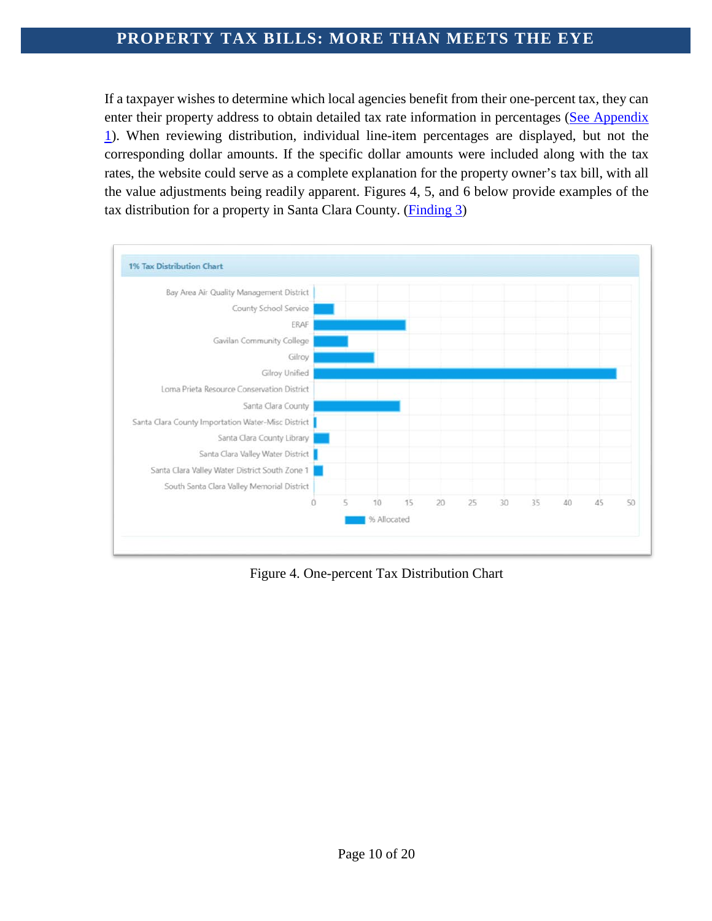If a taxpayer wishes to determine which local agencies benefit from their one-percent tax, they can enter their property address to obtain detailed tax rate information in percentages [\(See Appendix](#page-18-0) [1\)](#page-18-0). When reviewing distribution, individual line-item percentages are displayed, but not the corresponding dollar amounts. If the specific dollar amounts were included along with the tax rates, the website could serve as a complete explanation for the property owner's tax bill, with all the value adjustments being readily apparent. Figures 4, 5, and 6 below provide examples of the tax distribution for a property in Santa Clara County. [\(Finding 3\)](#page-15-3)



Figure 4. One-percent Tax Distribution Chart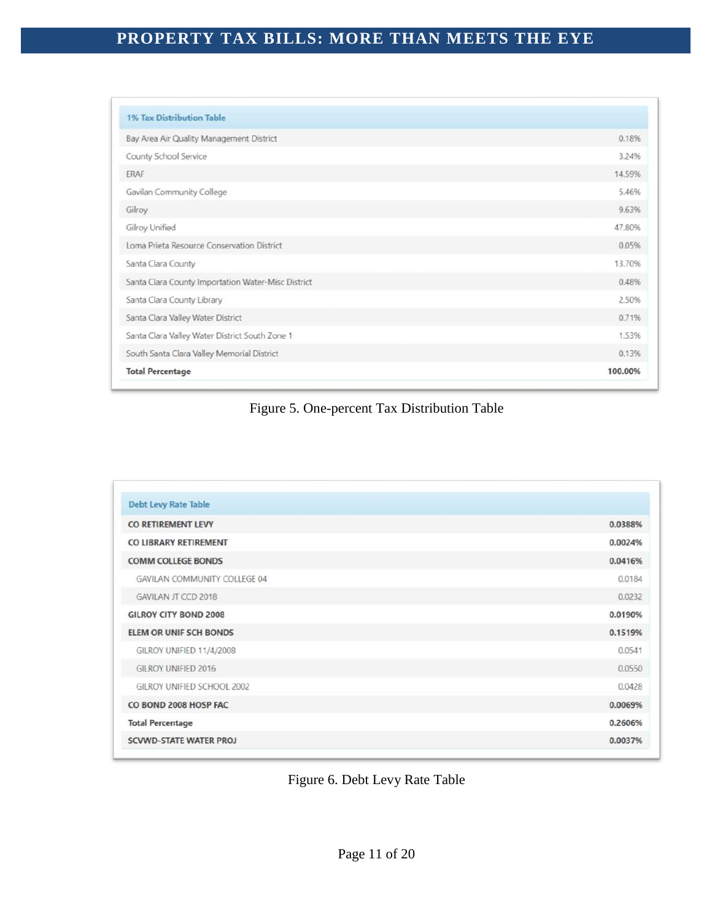| <b>1% Tax Distribution Table</b>                   |         |
|----------------------------------------------------|---------|
| Bay Area Air Quality Management District           | 0.18%   |
| County School Service                              | 3.24%   |
| ERAF                                               | 14.59%  |
| Gavilan Community College                          | 5.46%   |
| Gilroy                                             | 9.63%   |
| Gilroy Unified                                     | 47,80%  |
| Loma Prieta Resource Conservation District         | 0.05%   |
| Santa Clara County                                 | 13.70%  |
| Santa Clara County Importation Water-Misc District | 0.48%   |
| Santa Clara County Library                         | 2.50%   |
| Santa Clara Valley Water District                  | 0.71%   |
| Santa Clara Valley Water District South Zone 1     | 1.53%   |
| South Santa Clara Valley Memorial District         | 0.13%   |
| <b>Total Percentage</b>                            | 100.00% |

#### Figure 5. One-percent Tax Distribution Table

| <b>Debt Levy Rate Table</b>   |         |
|-------------------------------|---------|
| CO RETIREMENT LEVY            | 0.0388% |
| CO LIBRARY RETIREMENT         | 0.0024% |
| <b>COMM COLLEGE BONDS</b>     | 0.0416% |
| GAVILAN COMMUNITY COLLEGE 04  | 0.0184  |
| <b>GAVILAN JT CCD 2018</b>    | 0.0232  |
| <b>GILROY CITY BOND 2008</b>  | 0.0190% |
| <b>ELEM OR UNIF SCH BONDS</b> | 0.1519% |
| GILROY UNIFIED 11/4/2008      | 0.0541  |
| GILROY UNIFIED 2016           | 0.0550  |
| GILROY UNIFIED SCHOOL 2002    | 0.0428  |
| CO BOND 2008 HOSP FAC         | 0.0069% |
| <b>Total Percentage</b>       | 0.2606% |
| <b>SCVWD-STATE WATER PROJ</b> | 0.0037% |

#### Figure 6. Debt Levy Rate Table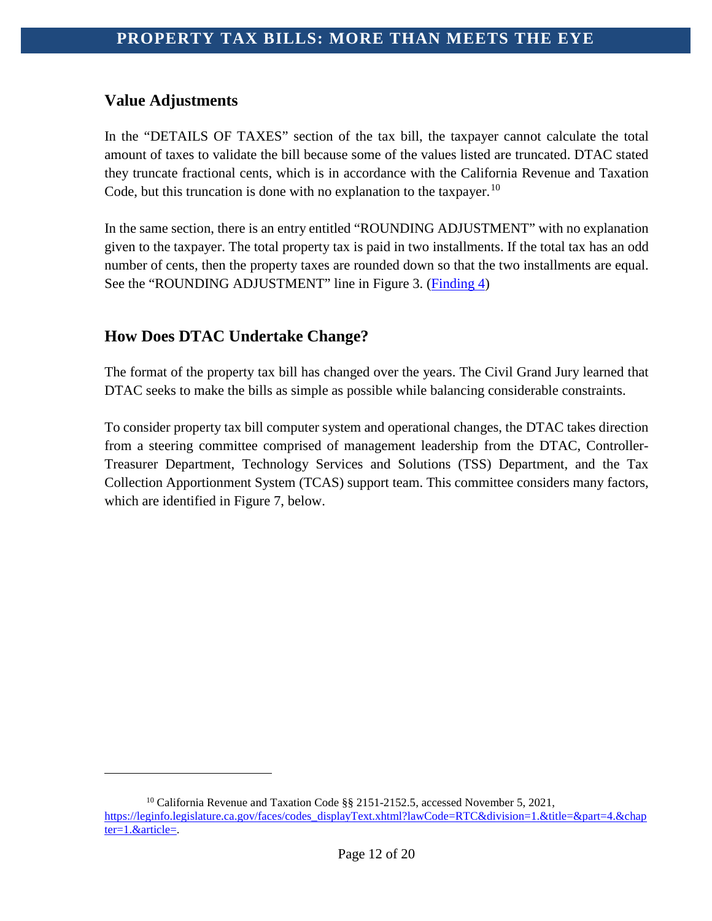#### <span id="page-12-0"></span>**Value Adjustments**

i<br>I

In the "DETAILS OF TAXES" section of the tax bill, the taxpayer cannot calculate the total amount of taxes to validate the bill because some of the values listed are truncated. DTAC stated they truncate fractional cents, which is in accordance with the California Revenue and Taxation Code, but this truncation is done with no explanation to the taxpayer.<sup>[10](#page-12-2)</sup>

In the same section, there is an entry entitled "ROUNDING ADJUSTMENT" with no explanation given to the taxpayer. The total property tax is paid in two installments. If the total tax has an odd number of cents, then the property taxes are rounded down so that the two installments are equal. See the "ROUNDING ADJUSTMENT" line in Figure 3. [\(Finding 4\)](#page-16-0)

#### <span id="page-12-1"></span>**How Does DTAC Undertake Change?**

The format of the property tax bill has changed over the years. The Civil Grand Jury learned that DTAC seeks to make the bills as simple as possible while balancing considerable constraints.

To consider property tax bill computer system and operational changes, the DTAC takes direction from a steering committee comprised of management leadership from the DTAC, Controller-Treasurer Department, Technology Services and Solutions (TSS) Department, and the Tax Collection Apportionment System (TCAS) support team. This committee considers many factors, which are identified in Figure 7, below.

<span id="page-12-2"></span><sup>&</sup>lt;sup>10</sup> California Revenue and Taxation Code §§ 2151-2152.5, accessed November 5, 2021, [https://leginfo.legislature.ca.gov/faces/codes\\_displayText.xhtml?lawCode=RTC&division=1.&title=&part=4.&chap](https://leginfo.legislature.ca.gov/faces/codes_displayText.xhtml?lawCode=RTC&division=1.&title=&part=4.&chapter=1.&article=) [ter=1.&article=.](https://leginfo.legislature.ca.gov/faces/codes_displayText.xhtml?lawCode=RTC&division=1.&title=&part=4.&chapter=1.&article=)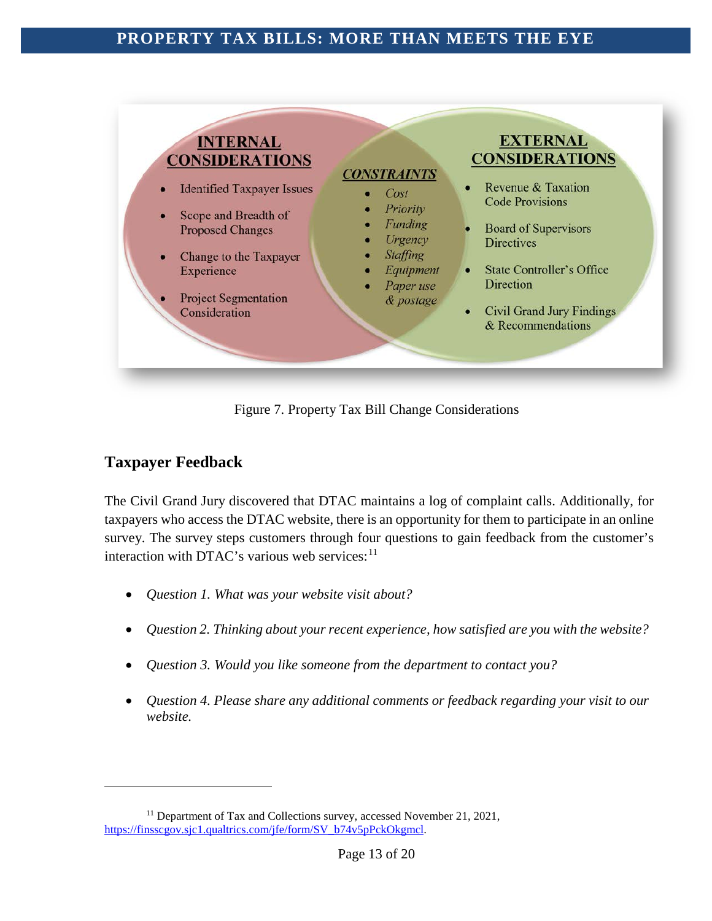

Figure 7. Property Tax Bill Change Considerations

### <span id="page-13-0"></span>**Taxpayer Feedback**

i<br>I

The Civil Grand Jury discovered that DTAC maintains a log of complaint calls. Additionally, for taxpayers who access the DTAC website, there is an opportunity for them to participate in an online survey. The survey steps customers through four questions to gain feedback from the customer's interaction with DTAC's various web services:<sup>[11](#page-13-1)</sup>

- *Question 1. What was your website visit about?*
- *Question 2. Thinking about your recent experience, how satisfied are you with the website?*
- *Question 3. Would you like someone from the department to contact you?*
- *Question 4. Please share any additional comments or feedback regarding your visit to our website.*

<span id="page-13-1"></span><sup>&</sup>lt;sup>11</sup> Department of Tax and Collections survey, accessed November 21, 2021, [https://finsscgov.sjc1.qualtrics.com/jfe/form/SV\\_b74v5pPckOkgmcl.](https://finsscgov.sjc1.qualtrics.com/jfe/form/SV_b74v5pPckOkgmcl)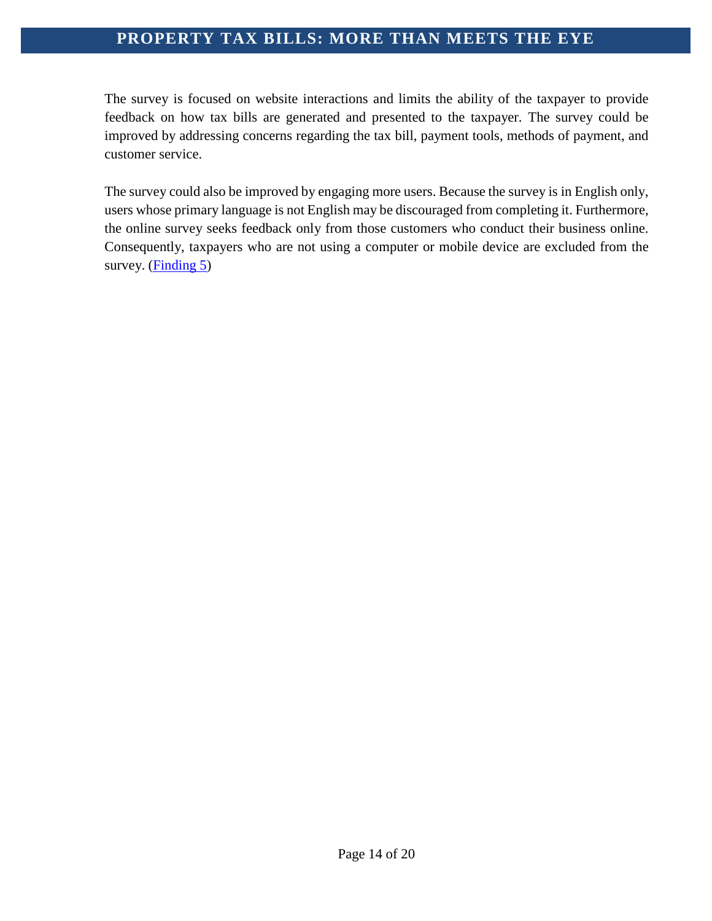The survey is focused on website interactions and limits the ability of the taxpayer to provide feedback on how tax bills are generated and presented to the taxpayer. The survey could be improved by addressing concerns regarding the tax bill, payment tools, methods of payment, and customer service.

The survey could also be improved by engaging more users. Because the survey is in English only, users whose primary language is not English may be discouraged from completing it. Furthermore, the online survey seeks feedback only from those customers who conduct their business online. Consequently, taxpayers who are not using a computer or mobile device are excluded from the survey. [\(Finding 5\)](#page-16-1)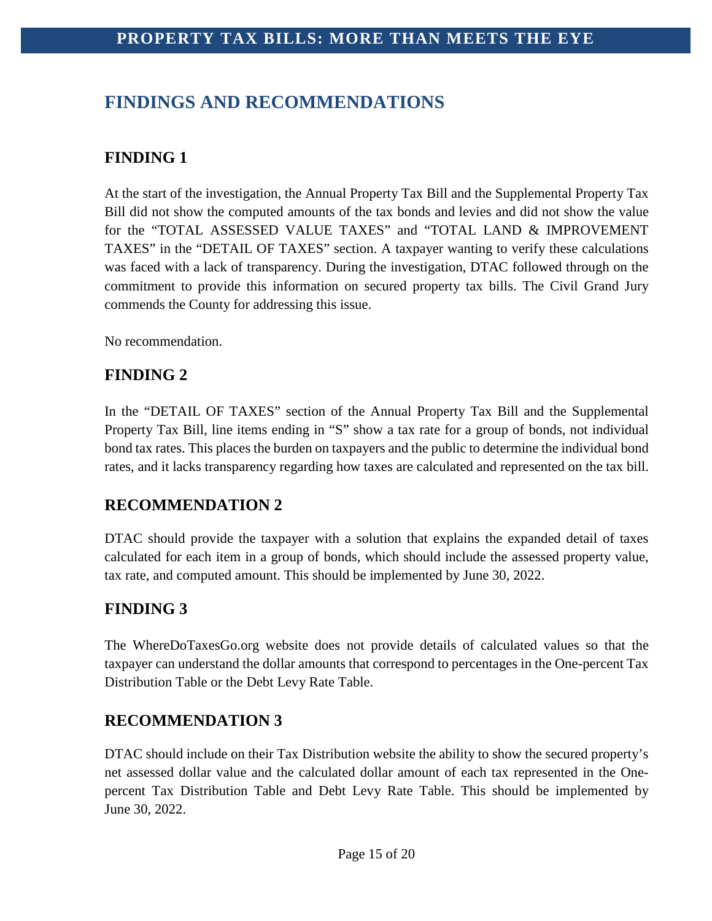# <span id="page-15-0"></span>**FINDINGS AND RECOMMENDATIONS**

### <span id="page-15-1"></span>**FINDING 1**

At the start of the investigation, the Annual Property Tax Bill and the Supplemental Property Tax Bill did not show the computed amounts of the tax bonds and levies and did not show the value for the "TOTAL ASSESSED VALUE TAXES" and "TOTAL LAND & IMPROVEMENT TAXES" in the "DETAIL OF TAXES" section. A taxpayer wanting to verify these calculations was faced with a lack of transparency. During the investigation, DTAC followed through on the commitment to provide this information on secured property tax bills. The Civil Grand Jury commends the County for addressing this issue.

No recommendation.

#### <span id="page-15-2"></span>**FINDING 2**

In the "DETAIL OF TAXES" section of the Annual Property Tax Bill and the Supplemental Property Tax Bill, line items ending in "S" show a tax rate for a group of bonds, not individual bond tax rates. This places the burden on taxpayers and the public to determine the individual bond rates, and it lacks transparency regarding how taxes are calculated and represented on the tax bill.

### **RECOMMENDATION 2**

DTAC should provide the taxpayer with a solution that explains the expanded detail of taxes calculated for each item in a group of bonds, which should include the assessed property value, tax rate, and computed amount. This should be implemented by June 30, 2022.

### <span id="page-15-3"></span>**FINDING 3**

The WhereDoTaxesGo.org website does not provide details of calculated values so that the taxpayer can understand the dollar amounts that correspond to percentages in the One-percent Tax Distribution Table or the Debt Levy Rate Table.

### **RECOMMENDATION 3**

DTAC should include on their Tax Distribution website the ability to show the secured property's net assessed dollar value and the calculated dollar amount of each tax represented in the Onepercent Tax Distribution Table and Debt Levy Rate Table. This should be implemented by June 30, 2022.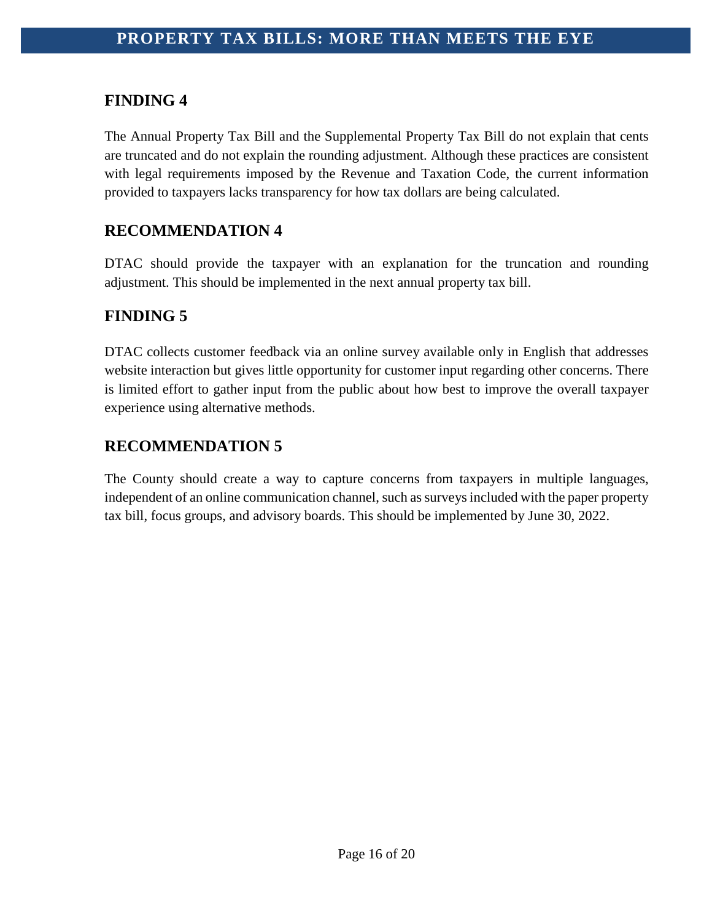#### <span id="page-16-0"></span>**FINDING 4**

The Annual Property Tax Bill and the Supplemental Property Tax Bill do not explain that cents are truncated and do not explain the rounding adjustment. Although these practices are consistent with legal requirements imposed by the Revenue and Taxation Code, the current information provided to taxpayers lacks transparency for how tax dollars are being calculated.

### **RECOMMENDATION 4**

DTAC should provide the taxpayer with an explanation for the truncation and rounding adjustment. This should be implemented in the next annual property tax bill.

### <span id="page-16-1"></span>**FINDING 5**

DTAC collects customer feedback via an online survey available only in English that addresses website interaction but gives little opportunity for customer input regarding other concerns. There is limited effort to gather input from the public about how best to improve the overall taxpayer experience using alternative methods.

### **RECOMMENDATION 5**

The County should create a way to capture concerns from taxpayers in multiple languages, independent of an online communication channel, such as surveys included with the paper property tax bill, focus groups, and advisory boards. This should be implemented by June 30, 2022.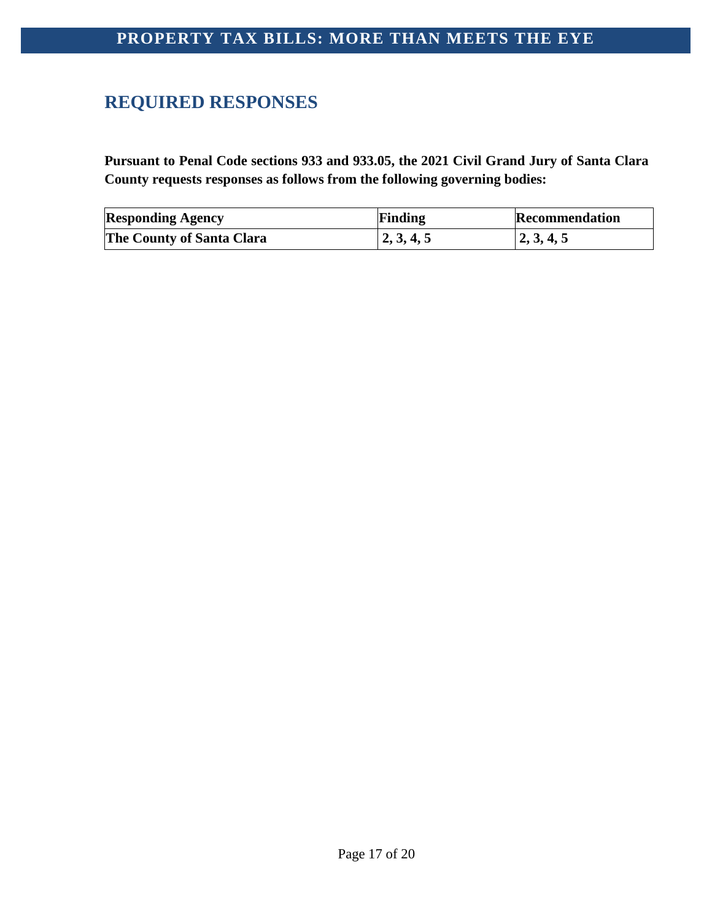# <span id="page-17-0"></span>**REQUIRED RESPONSES**

**Pursuant to Penal Code sections 933 and 933.05, the 2021 Civil Grand Jury of Santa Clara County requests responses as follows from the following governing bodies:**

| <b>Responding Agency</b>         | Finding    | Recommendation |
|----------------------------------|------------|----------------|
| <b>The County of Santa Clara</b> | 2, 3, 4, 5 | 2, 3, 4, 5     |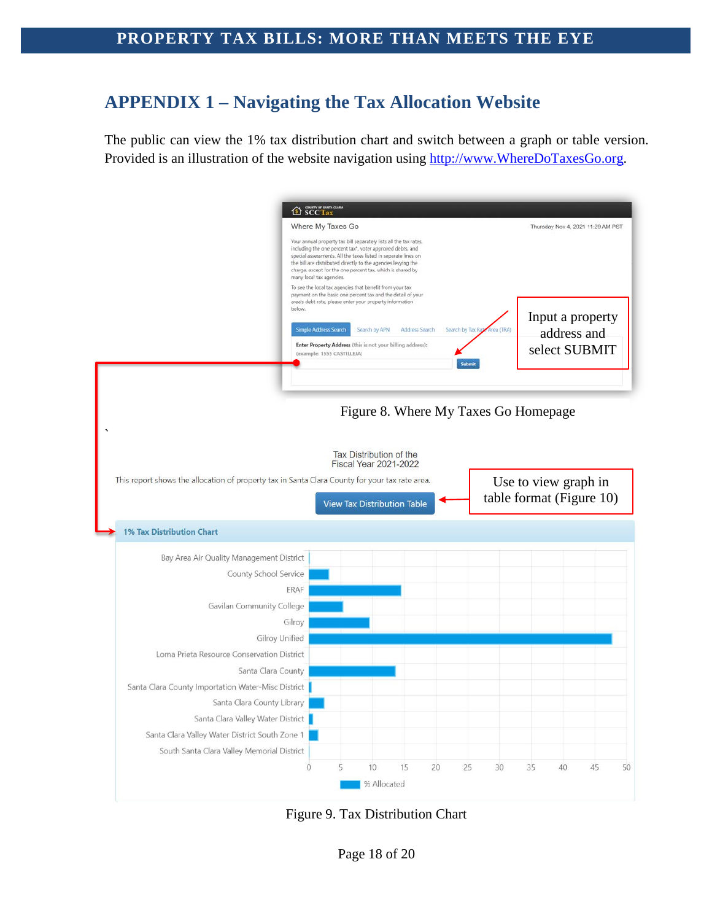# <span id="page-18-0"></span>**APPENDIX 1 – Navigating the Tax Allocation Website**

The public can view the 1% tax distribution chart and switch between a graph or table version. Provided is an illustration of the website navigation using [http://www.WhereDoTaxesGo.org.](http://www.wheredotaxesgo.org/)



Figure 9. Tax Distribution Chart

Page 18 of 20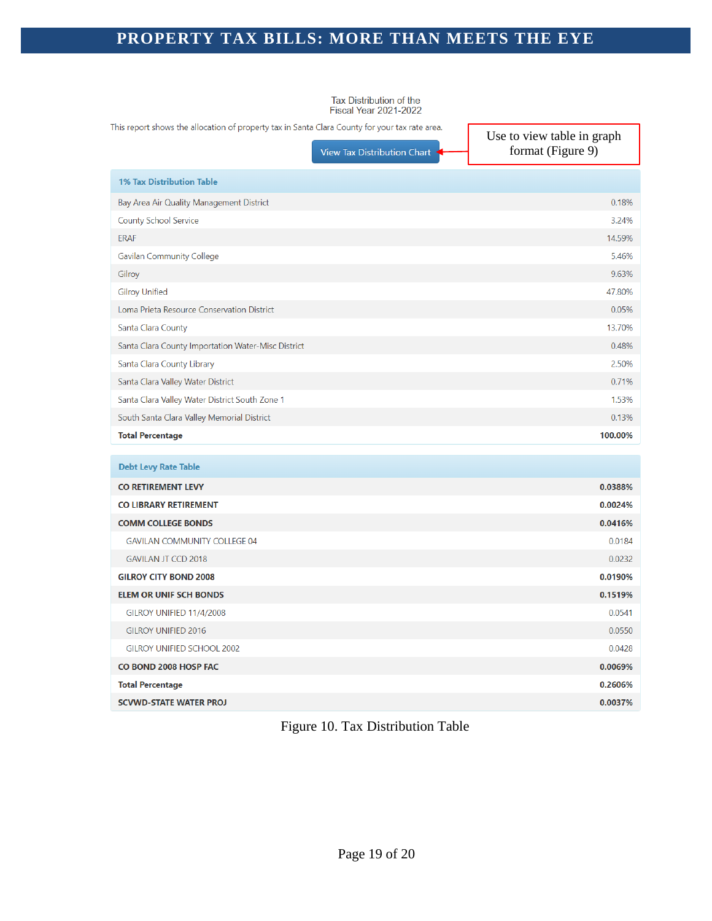Tax Distribution of the<br>Fiscal Year 2021-2022

This report shows the allocation of property tax in Santa Clara County for your tax rate area.

View Tax Distribution Chart

Use to view table in graph format (Figure 9)

| <b>1% Tax Distribution Table</b>                   |         |
|----------------------------------------------------|---------|
| Bay Area Air Quality Management District           | 0.18%   |
| <b>County School Service</b>                       | 3.24%   |
| <b>ERAF</b>                                        | 14.59%  |
| <b>Gavilan Community College</b>                   | 5.46%   |
| Gilroy                                             | 9.63%   |
| <b>Gilroy Unified</b>                              | 47.80%  |
| Loma Prieta Resource Conservation District         | 0.05%   |
| Santa Clara County                                 | 13.70%  |
| Santa Clara County Importation Water-Misc District | 0.48%   |
| Santa Clara County Library                         | 2.50%   |
| Santa Clara Valley Water District                  | 0.71%   |
| Santa Clara Valley Water District South Zone 1     | 1.53%   |
| South Santa Clara Valley Memorial District         | 0.13%   |
| <b>Total Percentage</b>                            | 100.00% |
|                                                    |         |

| <b>Debt Levy Rate Table</b>         |         |
|-------------------------------------|---------|
| <b>CO RETIREMENT LEVY</b>           | 0.0388% |
| CO LIBRARY RETIREMENT               | 0.0024% |
| <b>COMM COLLEGE BONDS</b>           | 0.0416% |
| <b>GAVILAN COMMUNITY COLLEGE 04</b> | 0.0184  |
| <b>GAVILAN JT CCD 2018</b>          | 0.0232  |
| <b>GILROY CITY BOND 2008</b>        | 0.0190% |
| <b>ELEM OR UNIF SCH BONDS</b>       | 0.1519% |
| GILROY UNIFIED 11/4/2008            | 0.0541  |
| <b>GILROY UNIFIED 2016</b>          | 0.0550  |
| <b>GILROY UNIFIED SCHOOL 2002</b>   | 0.0428  |
| CO BOND 2008 HOSP FAC               | 0.0069% |
| <b>Total Percentage</b>             | 0.2606% |
| <b>SCVWD-STATE WATER PROJ</b>       | 0.0037% |

#### Figure 10. Tax Distribution Table